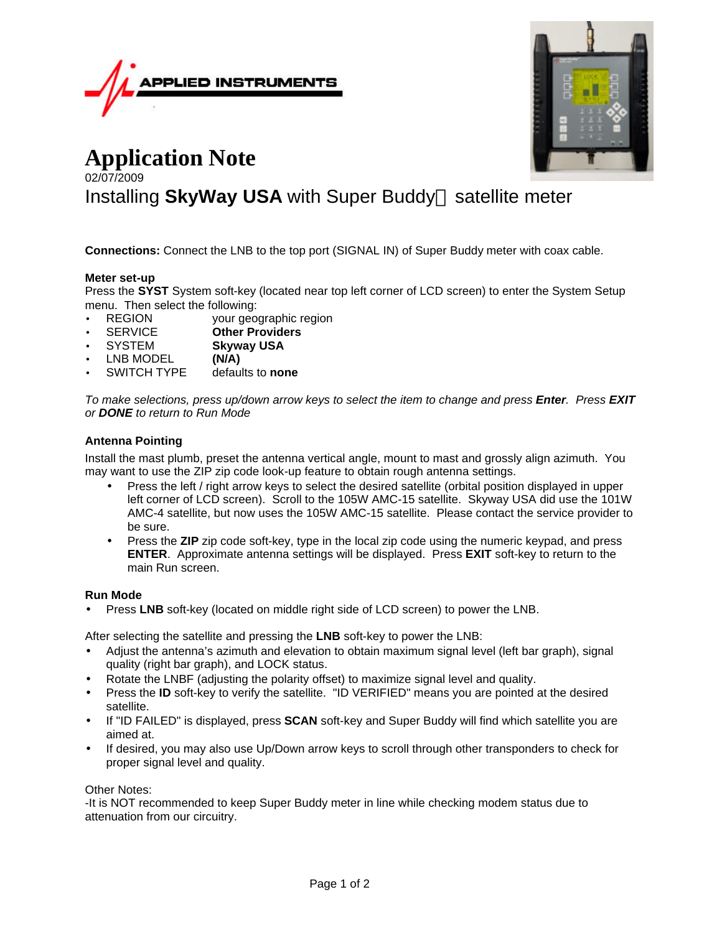



# **Application Note** 02/07/2009 Installing SkyWay USA with Super Buddy<sup>™</sup> satellite meter

**Connections:** Connect the LNB to the top port (SIGNAL IN) of Super Buddy meter with coax cable.

## **Meter set-up**

Press the **SYST** System soft-key (located near top left corner of LCD screen) to enter the System Setup menu. Then select the following:

- REGION your geographic region
- SERVICE **Other Providers**
- SYSTEM **Skyway USA**
- LNB MODEL **(N/A)**
- SWITCH TYPE defaults to **none**

*To make selections, press up/down arrow keys to select the item to change and press Enter. Press EXIT or DONE to return to Run Mode*

## **Antenna Pointing**

Install the mast plumb, preset the antenna vertical angle, mount to mast and grossly align azimuth. You may want to use the ZIP zip code look-up feature to obtain rough antenna settings.

- Press the left / right arrow keys to select the desired satellite (orbital position displayed in upper left corner of LCD screen). Scroll to the 105W AMC-15 satellite. Skyway USA did use the 101W AMC-4 satellite, but now uses the 105W AMC-15 satellite. Please contact the service provider to be sure.
- Press the **ZIP** zip code soft-key, type in the local zip code using the numeric keypad, and press **ENTER**. Approximate antenna settings will be displayed. Press **EXIT** soft-key to return to the main Run screen.

#### **Run Mode**

• Press **LNB** soft-key (located on middle right side of LCD screen) to power the LNB.

After selecting the satellite and pressing the **LNB** soft-key to power the LNB:

- Adjust the antenna's azimuth and elevation to obtain maximum signal level (left bar graph), signal quality (right bar graph), and LOCK status.
- Rotate the LNBF (adjusting the polarity offset) to maximize signal level and quality.
- Press the **ID** soft-key to verify the satellite. "ID VERIFIED" means you are pointed at the desired satellite.
- If "ID FAILED" is displayed, press **SCAN** soft-key and Super Buddy will find which satellite you are aimed at.
- If desired, you may also use Up/Down arrow keys to scroll through other transponders to check for proper signal level and quality.

## Other Notes:

-It is NOT recommended to keep Super Buddy meter in line while checking modem status due to attenuation from our circuitry.